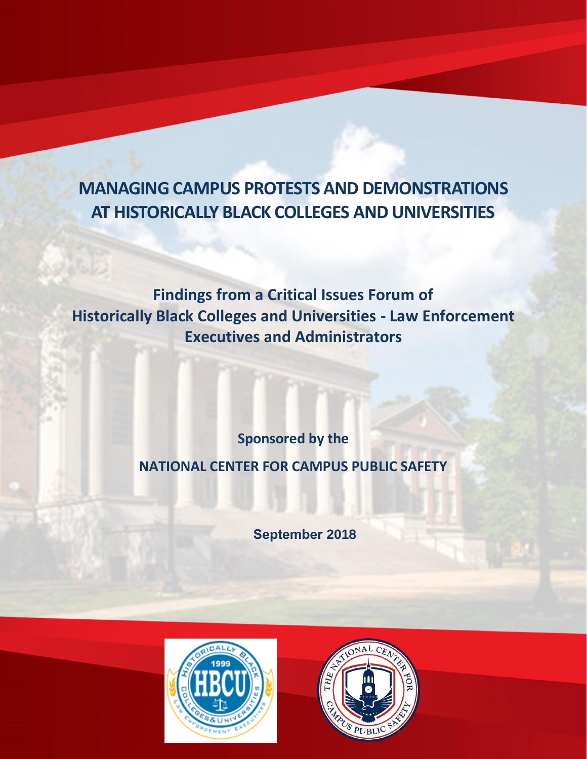# **MANAGING CAMPUS PROTESTS AND DEMONSTRATIONS AT HISTORICALLY BLACK COLLEGES AND UNIVERSITIES**

**Findings from a Critical Issues Forum of Historically Black Colleges and Universities - Law Enforcement Executives and Administrators**

**Sponsored by the** 

## **NATIONAL CENTER FOR CAMPUS PUBLIC SAFETY**

**September 2018**



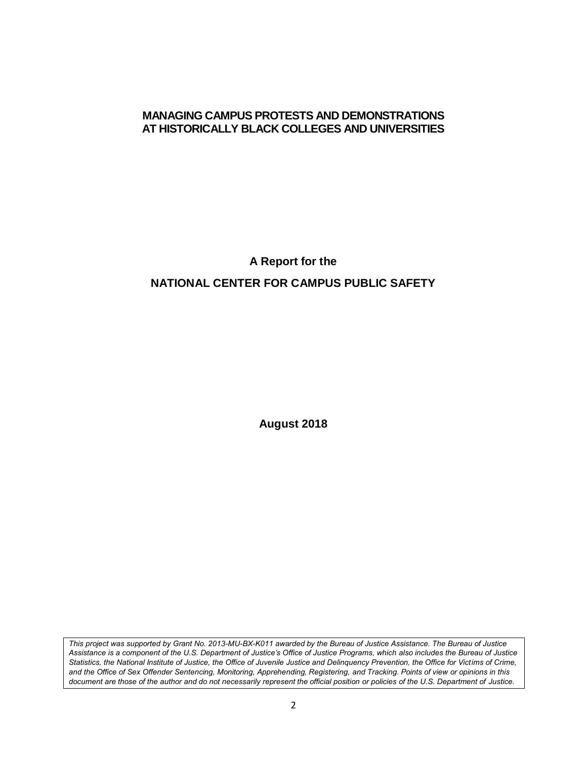#### **MANAGING CAMPUS PROTESTS AND DEMONSTRATIONS AT HISTORICALLY BLACK COLLEGES AND UNIVERSITIES**

**A Report for the**

#### **NATIONAL CENTER FOR CAMPUS PUBLIC SAFETY**

**August 2018**

*This project was supported by Grant No. 2013-MU-BX-K011 awarded by the Bureau of Justice Assistance. The Bureau of Justice Assistance is a component of the U.S. Department of Justice's Office of Justice Programs, which also includes the Bureau of Justice Statistics, the National Institute of Justice, the Office of Juvenile Justice and Delinquency Prevention, the Office for Victims of Crime, and the Office of Sex Offender Sentencing, Monitoring, Apprehending, Registering, and Tracking. Points of view or opinions in this document are those of the author and do not necessarily represent the official position or policies of the U.S. Department of Justice.*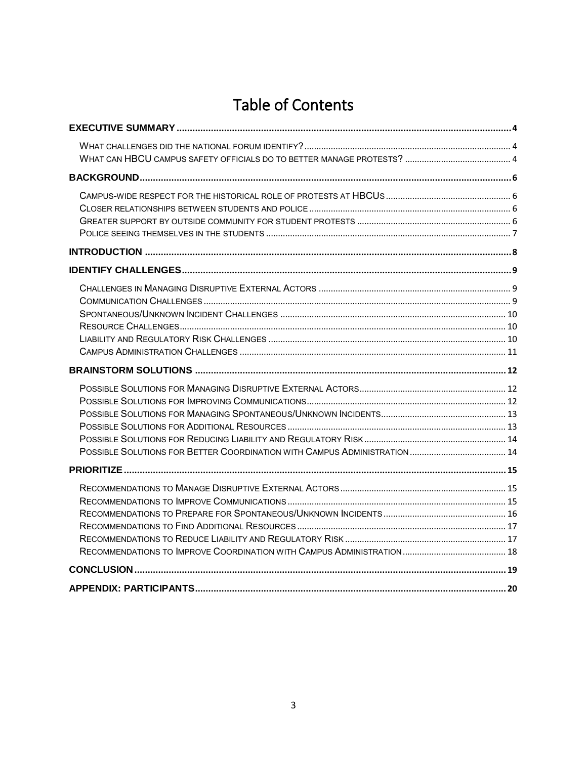# **Table of Contents**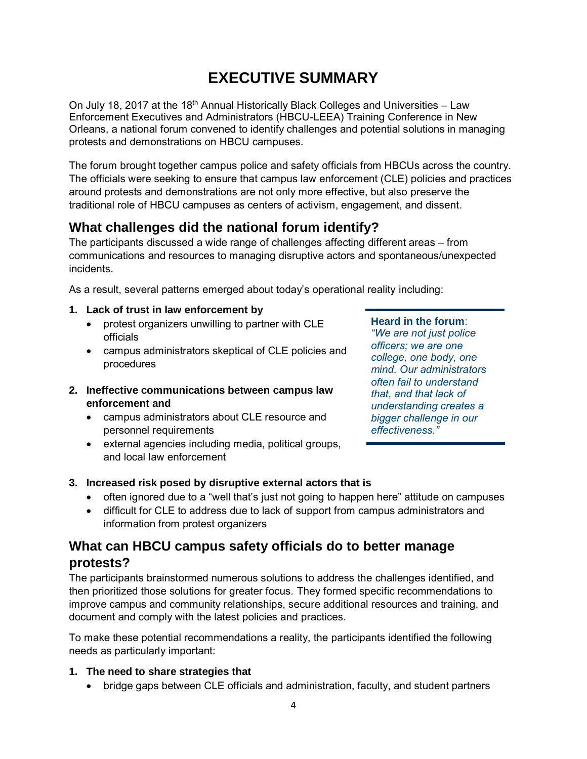# **EXECUTIVE SUMMARY**

<span id="page-3-0"></span>On July 18, 2017 at the 18<sup>th</sup> Annual Historically Black Colleges and Universities – Law Enforcement Executives and Administrators (HBCU-LEEA) Training Conference in New Orleans, a national forum convened to identify challenges and potential solutions in managing protests and demonstrations on HBCU campuses.

The forum brought together campus police and safety officials from HBCUs across the country. The officials were seeking to ensure that campus law enforcement (CLE) policies and practices around protests and demonstrations are not only more effective, but also preserve the traditional role of HBCU campuses as centers of activism, engagement, and dissent.

## <span id="page-3-1"></span>**What challenges did the national forum identify?**

The participants discussed a wide range of challenges affecting different areas – from communications and resources to managing disruptive actors and spontaneous/unexpected incidents.

As a result, several patterns emerged about today's operational reality including:

- **1. Lack of trust in law enforcement by**
	- protest organizers unwilling to partner with CLE officials
	- campus administrators skeptical of CLE policies and procedures
- **2. Ineffective communications between campus law enforcement and**
	- campus administrators about CLE resource and personnel requirements
	- external agencies including media, political groups, and local law enforcement

#### **Heard in the forum**:

*"We are not just police officers; we are one college, one body, one mind. Our administrators often fail to understand that, and that lack of understanding creates a bigger challenge in our effectiveness."*

#### **3. Increased risk posed by disruptive external actors that is**

- often ignored due to a "well that's just not going to happen here" attitude on campuses
- difficult for CLE to address due to lack of support from campus administrators and information from protest organizers

### <span id="page-3-2"></span>**What can HBCU campus safety officials do to better manage protests?**

The participants brainstormed numerous solutions to address the challenges identified, and then prioritized those solutions for greater focus. They formed specific recommendations to improve campus and community relationships, secure additional resources and training, and document and comply with the latest policies and practices.

To make these potential recommendations a reality, the participants identified the following needs as particularly important:

- **1. The need to share strategies that**
	- bridge gaps between CLE officials and administration, faculty, and student partners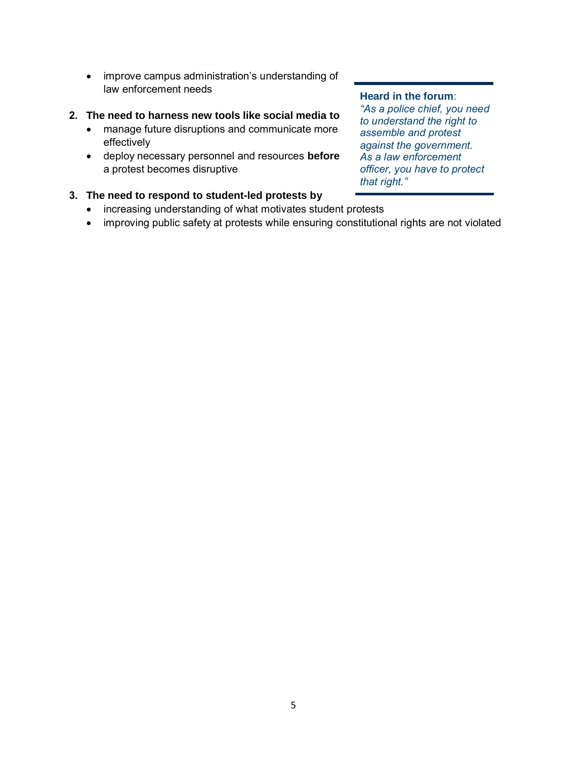• improve campus administration's understanding of law enforcement needs

#### **2. The need to harness new tools like social media to**

- manage future disruptions and communicate more effectively
- deploy necessary personnel and resources **before** a protest becomes disruptive

#### **3. The need to respond to student-led protests by**

- increasing understanding of what motivates student protests
- improving public safety at protests while ensuring constitutional rights are not violated

#### **Heard in the forum**:

*"As a police chief, you need to understand the right to assemble and protest against the government. As a law enforcement officer, you have to protect that right."*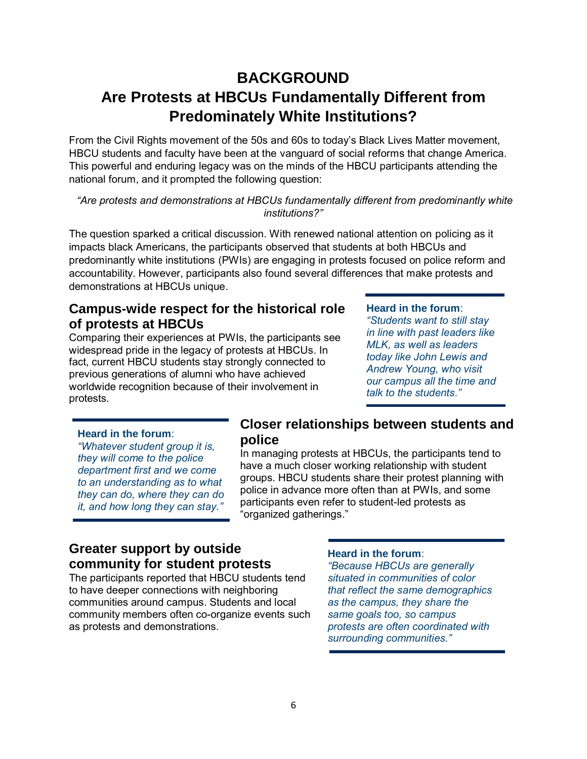## <span id="page-5-0"></span>**BACKGROUND Are Protests at HBCUs Fundamentally Different from Predominately White Institutions?**

From the Civil Rights movement of the 50s and 60s to today's Black Lives Matter movement, HBCU students and faculty have been at the vanguard of social reforms that change America. This powerful and enduring legacy was on the minds of the HBCU participants attending the national forum, and it prompted the following question:

*"Are protests and demonstrations at HBCUs fundamentally different from predominantly white institutions?"*

The question sparked a critical discussion. With renewed national attention on policing as it impacts black Americans, the participants observed that students at both HBCUs and predominantly white institutions (PWIs) are engaging in protests focused on police reform and accountability. However, participants also found several differences that make protests and demonstrations at HBCUs unique.

### <span id="page-5-1"></span>**Campus-wide respect for the historical role of protests at HBCUs**

Comparing their experiences at PWIs, the participants see widespread pride in the legacy of protests at HBCUs. In fact, current HBCU students stay strongly connected to previous generations of alumni who have achieved worldwide recognition because of their involvement in protests.

#### **Heard in the forum**:

*"Students want to still stay in line with past leaders like MLK, as well as leaders today like John Lewis and Andrew Young, who visit our campus all the time and talk to the students."*

#### **Heard in the forum**:

*"Whatever student group it is, they will come to the police department first and we come to an understanding as to what they can do, where they can do it, and how long they can stay."*

#### <span id="page-5-2"></span>**Closer relationships between students and police**

In managing protests at HBCUs, the participants tend to have a much closer working relationship with student groups. HBCU students share their protest planning with police in advance more often than at PWIs, and some participants even refer to student-led protests as "organized gatherings."

#### <span id="page-5-3"></span>**Greater support by outside community for student protests**

The participants reported that HBCU students tend to have deeper connections with neighboring communities around campus. Students and local community members often co-organize events such as protests and demonstrations.

#### **Heard in the forum**:

*"Because HBCUs are generally situated in communities of color that reflect the same demographics as the campus, they share the same goals too, so campus protests are often coordinated with surrounding communities."*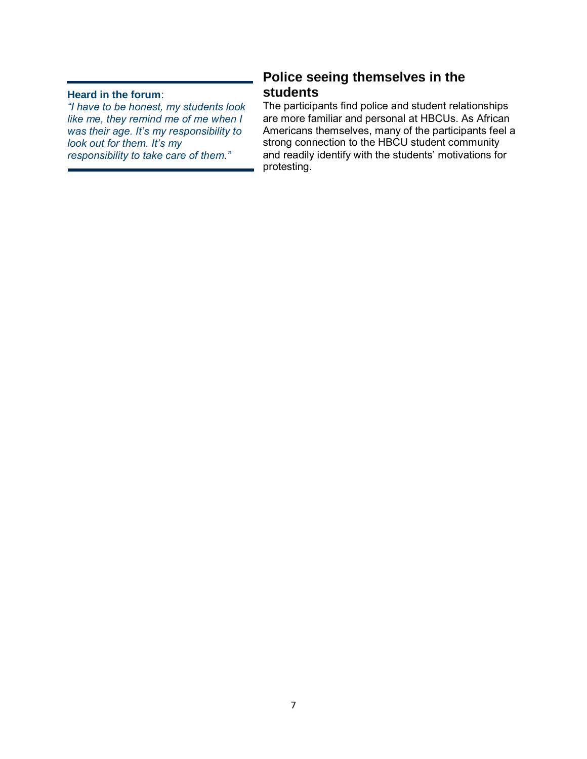#### **Heard in the forum**:

*"I have to be honest, my students look like me, they remind me of me when I was their age. It's my responsibility to look out for them. It's my responsibility to take care of them."*

### <span id="page-6-0"></span>**Police seeing themselves in the students**

The participants find police and student relationships are more familiar and personal at HBCUs. As African Americans themselves, many of the participants feel a strong connection to the HBCU student community and readily identify with the students' motivations for protesting.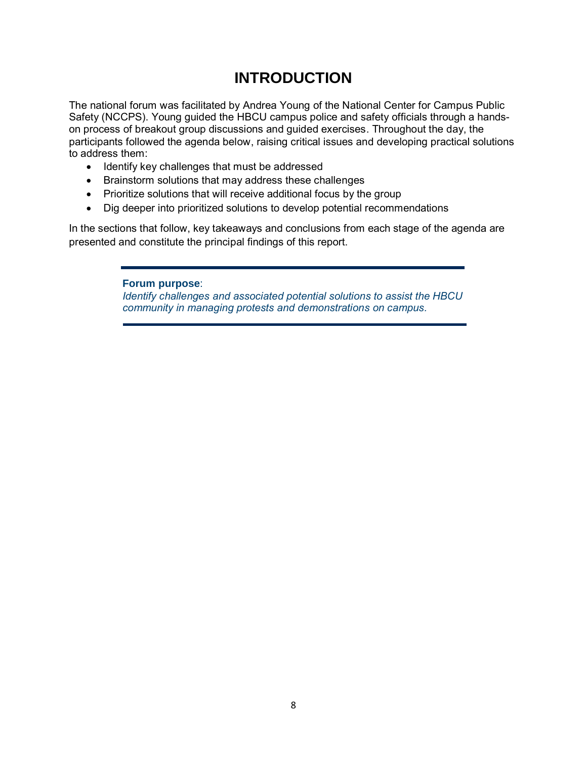## **INTRODUCTION**

<span id="page-7-0"></span>The national forum was facilitated by Andrea Young of the National Center for Campus Public Safety (NCCPS). Young guided the HBCU campus police and safety officials through a handson process of breakout group discussions and guided exercises. Throughout the day, the participants followed the agenda below, raising critical issues and developing practical solutions to address them:

- Identify key challenges that must be addressed
- Brainstorm solutions that may address these challenges
- Prioritize solutions that will receive additional focus by the group
- Dig deeper into prioritized solutions to develop potential recommendations

In the sections that follow, key takeaways and conclusions from each stage of the agenda are presented and constitute the principal findings of this report.

> **Forum purpose**: *Identify challenges and associated potential solutions to assist the HBCU community in managing protests and demonstrations on campus.*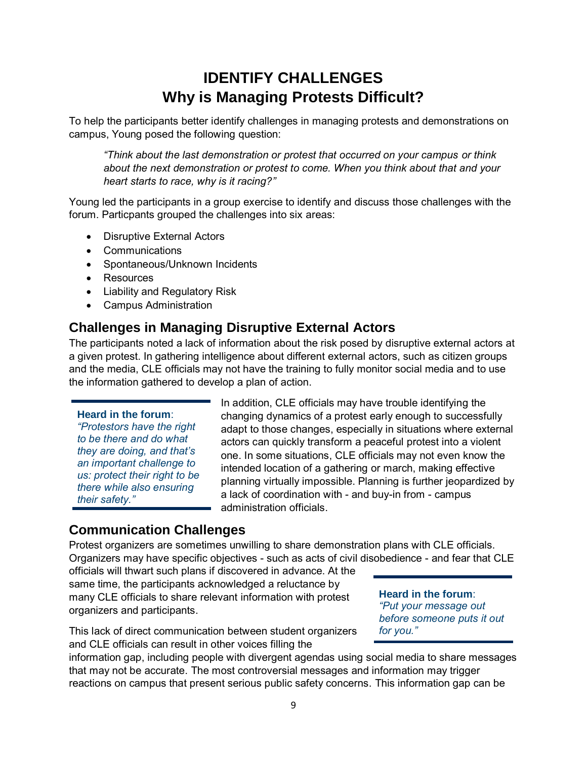## **IDENTIFY CHALLENGES Why is Managing Protests Difficult?**

<span id="page-8-0"></span>To help the participants better identify challenges in managing protests and demonstrations on campus, Young posed the following question:

*"Think about the last demonstration or protest that occurred on your campus or think about the next demonstration or protest to come. When you think about that and your heart starts to race, why is it racing?"*

Young led the participants in a group exercise to identify and discuss those challenges with the forum. Particpants grouped the challenges into six areas:

- Disruptive External Actors
- Communications
- Spontaneous/Unknown Incidents
- Resources
- Liability and Regulatory Risk
- Campus Administration

#### <span id="page-8-1"></span>**Challenges in Managing Disruptive External Actors**

The participants noted a lack of information about the risk posed by disruptive external actors at a given protest. In gathering intelligence about different external actors, such as citizen groups and the media, CLE officials may not have the training to fully monitor social media and to use the information gathered to develop a plan of action.

#### **Heard in the forum**:

*"Protestors have the right to be there and do what they are doing, and that's an important challenge to us: protect their right to be there while also ensuring their safety."*

In addition, CLE officials may have trouble identifying the changing dynamics of a protest early enough to successfully adapt to those changes, especially in situations where external actors can quickly transform a peaceful protest into a violent one. In some situations, CLE officials may not even know the intended location of a gathering or march, making effective planning virtually impossible. Planning is further jeopardized by a lack of coordination with - and buy-in from - campus administration officials.

#### <span id="page-8-2"></span>**Communication Challenges**

Protest organizers are sometimes unwilling to share demonstration plans with CLE officials. Organizers may have specific objectives - such as acts of civil disobedience - and fear that CLE

officials will thwart such plans if discovered in advance. At the same time, the participants acknowledged a reluctance by many CLE officials to share relevant information with protest organizers and participants.

**Heard in the forum**: *"Put your message out before someone puts it out for you."*

This lack of direct communication between student organizers and CLE officials can result in other voices filling the

information gap, including people with divergent agendas using social media to share messages that may not be accurate. The most controversial messages and information may trigger reactions on campus that present serious public safety concerns. This information gap can be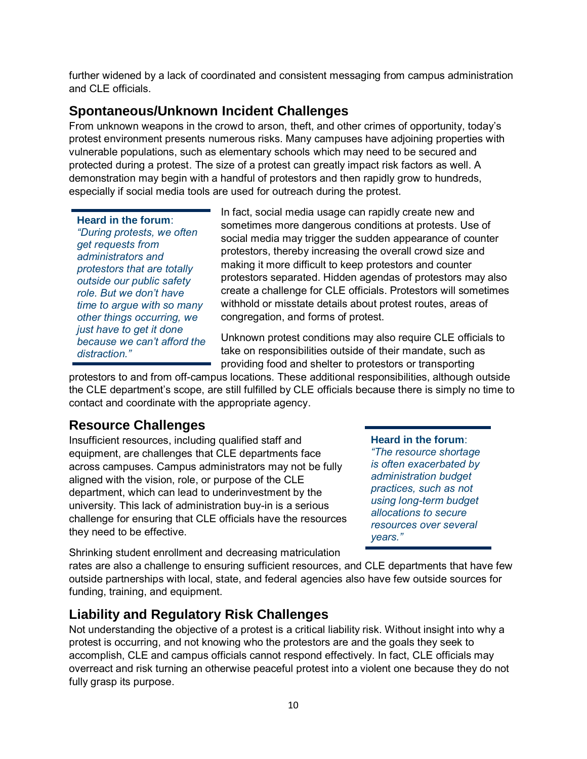further widened by a lack of coordinated and consistent messaging from campus administration and CLE officials.

### <span id="page-9-0"></span>**Spontaneous/Unknown Incident Challenges**

From unknown weapons in the crowd to arson, theft, and other crimes of opportunity, today's protest environment presents numerous risks. Many campuses have adjoining properties with vulnerable populations, such as elementary schools which may need to be secured and protected during a protest. The size of a protest can greatly impact risk factors as well. A demonstration may begin with a handful of protestors and then rapidly grow to hundreds, especially if social media tools are used for outreach during the protest.

#### **Heard in the forum**:

*"During protests, we often get requests from administrators and protestors that are totally outside our public safety role. But we don't have time to argue with so many other things occurring, we just have to get it done because we can't afford the distraction."*

In fact, social media usage can rapidly create new and sometimes more dangerous conditions at protests. Use of social media may trigger the sudden appearance of counter protestors, thereby increasing the overall crowd size and making it more difficult to keep protestors and counter protestors separated. Hidden agendas of protestors may also create a challenge for CLE officials. Protestors will sometimes withhold or misstate details about protest routes, areas of congregation, and forms of protest.

Unknown protest conditions may also require CLE officials to take on responsibilities outside of their mandate, such as providing food and shelter to protestors or transporting

protestors to and from off-campus locations. These additional responsibilities, although outside the CLE department's scope, are still fulfilled by CLE officials because there is simply no time to contact and coordinate with the appropriate agency.

### <span id="page-9-1"></span>**Resource Challenges**

Insufficient resources, including qualified staff and equipment, are challenges that CLE departments face across campuses. Campus administrators may not be fully aligned with the vision, role, or purpose of the CLE department, which can lead to underinvestment by the university. This lack of administration buy-in is a serious challenge for ensuring that CLE officials have the resources they need to be effective.

**Heard in the forum**:

*"The resource shortage is often exacerbated by administration budget practices, such as not using long-term budget allocations to secure resources over several years."*

Shrinking student enrollment and decreasing matriculation

rates are also a challenge to ensuring sufficient resources, and CLE departments that have few outside partnerships with local, state, and federal agencies also have few outside sources for funding, training, and equipment.

## <span id="page-9-2"></span>**Liability and Regulatory Risk Challenges**

Not understanding the objective of a protest is a critical liability risk. Without insight into why a protest is occurring, and not knowing who the protestors are and the goals they seek to accomplish, CLE and campus officials cannot respond effectively. In fact, CLE officials may overreact and risk turning an otherwise peaceful protest into a violent one because they do not fully grasp its purpose.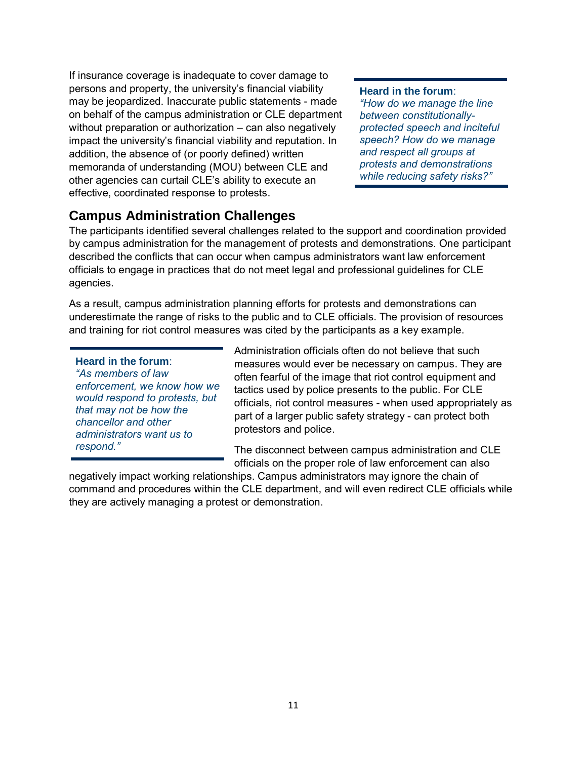If insurance coverage is inadequate to cover damage to persons and property, the university's financial viability may be jeopardized. Inaccurate public statements - made on behalf of the campus administration or CLE department without preparation or authorization – can also negatively impact the university's financial viability and reputation. In addition, the absence of (or poorly defined) written memoranda of understanding (MOU) between CLE and other agencies can curtail CLE's ability to execute an effective, coordinated response to protests.

#### **Heard in the forum**:

*"How do we manage the line between constitutionallyprotected speech and inciteful speech? How do we manage and respect all groups at protests and demonstrations while reducing safety risks?"*

### <span id="page-10-0"></span>**Campus Administration Challenges**

The participants identified several challenges related to the support and coordination provided by campus administration for the management of protests and demonstrations. One participant described the conflicts that can occur when campus administrators want law enforcement officials to engage in practices that do not meet legal and professional guidelines for CLE agencies.

As a result, campus administration planning efforts for protests and demonstrations can underestimate the range of risks to the public and to CLE officials. The provision of resources and training for riot control measures was cited by the participants as a key example.

#### **Heard in the forum**:

*"As members of law enforcement, we know how we would respond to protests, but that may not be how the chancellor and other administrators want us to respond."*

Administration officials often do not believe that such measures would ever be necessary on campus. They are often fearful of the image that riot control equipment and tactics used by police presents to the public. For CLE officials, riot control measures - when used appropriately as part of a larger public safety strategy - can protect both protestors and police.

The disconnect between campus administration and CLE officials on the proper role of law enforcement can also

negatively impact working relationships. Campus administrators may ignore the chain of command and procedures within the CLE department, and will even redirect CLE officials while they are actively managing a protest or demonstration.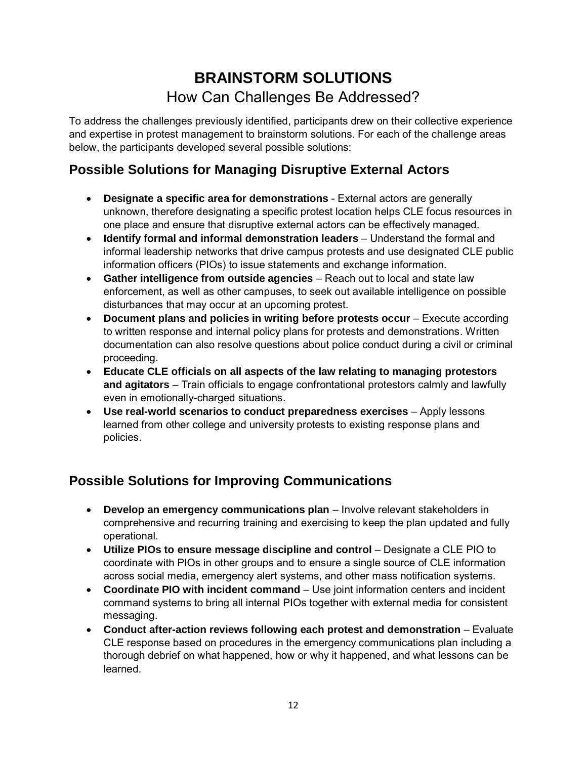## **BRAINSTORM SOLUTIONS** How Can Challenges Be Addressed?

<span id="page-11-0"></span>To address the challenges previously identified, participants drew on their collective experience and expertise in protest management to brainstorm solutions. For each of the challenge areas below, the participants developed several possible solutions:

## <span id="page-11-1"></span>**Possible Solutions for Managing Disruptive External Actors**

- **Designate a specific area for demonstrations** External actors are generally unknown, therefore designating a specific protest location helps CLE focus resources in one place and ensure that disruptive external actors can be effectively managed.
- **Identify formal and informal demonstration leaders** Understand the formal and informal leadership networks that drive campus protests and use designated CLE public information officers (PIOs) to issue statements and exchange information.
- **Gather intelligence from outside agencies** Reach out to local and state law enforcement, as well as other campuses, to seek out available intelligence on possible disturbances that may occur at an upcoming protest.
- **Document plans and policies in writing before protests occur** Execute according to written response and internal policy plans for protests and demonstrations. Written documentation can also resolve questions about police conduct during a civil or criminal proceeding.
- **Educate CLE officials on all aspects of the law relating to managing protestors and agitators** – Train officials to engage confrontational protestors calmly and lawfully even in emotionally-charged situations.
- **Use real-world scenarios to conduct preparedness exercises** Apply lessons learned from other college and university protests to existing response plans and policies.

## <span id="page-11-2"></span>**Possible Solutions for Improving Communications**

- **Develop an emergency communications plan** Involve relevant stakeholders in comprehensive and recurring training and exercising to keep the plan updated and fully operational.
- **Utilize PIOs to ensure message discipline and control** Designate a CLE PIO to coordinate with PIOs in other groups and to ensure a single source of CLE information across social media, emergency alert systems, and other mass notification systems.
- **Coordinate PIO with incident command** Use joint information centers and incident command systems to bring all internal PIOs together with external media for consistent messaging.
- **Conduct after-action reviews following each protest and demonstration** Evaluate CLE response based on procedures in the emergency communications plan including a thorough debrief on what happened, how or why it happened, and what lessons can be learned.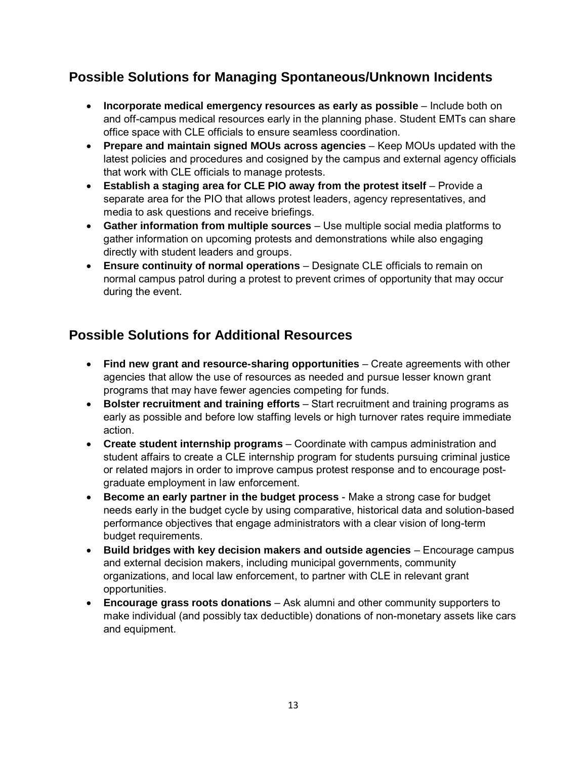## <span id="page-12-0"></span>**Possible Solutions for Managing Spontaneous/Unknown Incidents**

- **Incorporate medical emergency resources as early as possible** Include both on and off-campus medical resources early in the planning phase. Student EMTs can share office space with CLE officials to ensure seamless coordination.
- **Prepare and maintain signed MOUs across agencies** Keep MOUs updated with the latest policies and procedures and cosigned by the campus and external agency officials that work with CLE officials to manage protests.
- **Establish a staging area for CLE PIO away from the protest itself** Provide a separate area for the PIO that allows protest leaders, agency representatives, and media to ask questions and receive briefings.
- **Gather information from multiple sources** Use multiple social media platforms to gather information on upcoming protests and demonstrations while also engaging directly with student leaders and groups.
- **Ensure continuity of normal operations** Designate CLE officials to remain on normal campus patrol during a protest to prevent crimes of opportunity that may occur during the event.

## <span id="page-12-1"></span>**Possible Solutions for Additional Resources**

- **Find new grant and resource-sharing opportunities** Create agreements with other agencies that allow the use of resources as needed and pursue lesser known grant programs that may have fewer agencies competing for funds.
- **Bolster recruitment and training efforts** Start recruitment and training programs as early as possible and before low staffing levels or high turnover rates require immediate action.
- **Create student internship programs** Coordinate with campus administration and student affairs to create a CLE internship program for students pursuing criminal justice or related majors in order to improve campus protest response and to encourage postgraduate employment in law enforcement.
- **Become an early partner in the budget process** Make a strong case for budget needs early in the budget cycle by using comparative, historical data and solution-based performance objectives that engage administrators with a clear vision of long-term budget requirements.
- **Build bridges with key decision makers and outside agencies** Encourage campus and external decision makers, including municipal governments, community organizations, and local law enforcement, to partner with CLE in relevant grant opportunities.
- **Encourage grass roots donations** Ask alumni and other community supporters to make individual (and possibly tax deductible) donations of non-monetary assets like cars and equipment.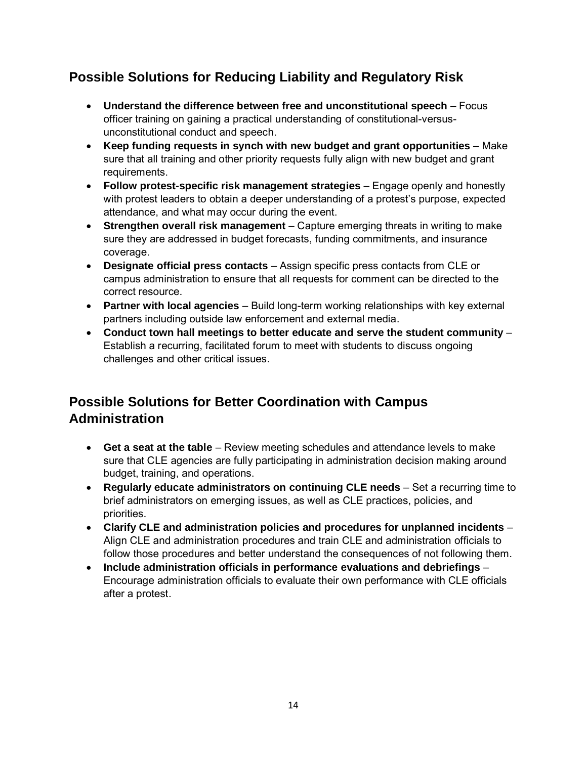## <span id="page-13-0"></span>**Possible Solutions for Reducing Liability and Regulatory Risk**

- **Understand the difference between free and unconstitutional speech**  Focus officer training on gaining a practical understanding of constitutional-versusunconstitutional conduct and speech.
- **Keep funding requests in synch with new budget and grant opportunities** Make sure that all training and other priority requests fully align with new budget and grant requirements.
- **Follow protest-specific risk management strategies** Engage openly and honestly with protest leaders to obtain a deeper understanding of a protest's purpose, expected attendance, and what may occur during the event.
- **Strengthen overall risk management** Capture emerging threats in writing to make sure they are addressed in budget forecasts, funding commitments, and insurance coverage.
- **Designate official press contacts** Assign specific press contacts from CLE or campus administration to ensure that all requests for comment can be directed to the correct resource.
- **Partner with local agencies** Build long-term working relationships with key external partners including outside law enforcement and external media.
- **Conduct town hall meetings to better educate and serve the student community** Establish a recurring, facilitated forum to meet with students to discuss ongoing challenges and other critical issues.

## <span id="page-13-1"></span>**Possible Solutions for Better Coordination with Campus Administration**

- **Get a seat at the table** Review meeting schedules and attendance levels to make sure that CLE agencies are fully participating in administration decision making around budget, training, and operations.
- **Regularly educate administrators on continuing CLE needs** Set a recurring time to brief administrators on emerging issues, as well as CLE practices, policies, and priorities.
- **Clarify CLE and administration policies and procedures for unplanned incidents** Align CLE and administration procedures and train CLE and administration officials to follow those procedures and better understand the consequences of not following them.
- **Include administration officials in performance evaluations and debriefings** Encourage administration officials to evaluate their own performance with CLE officials after a protest.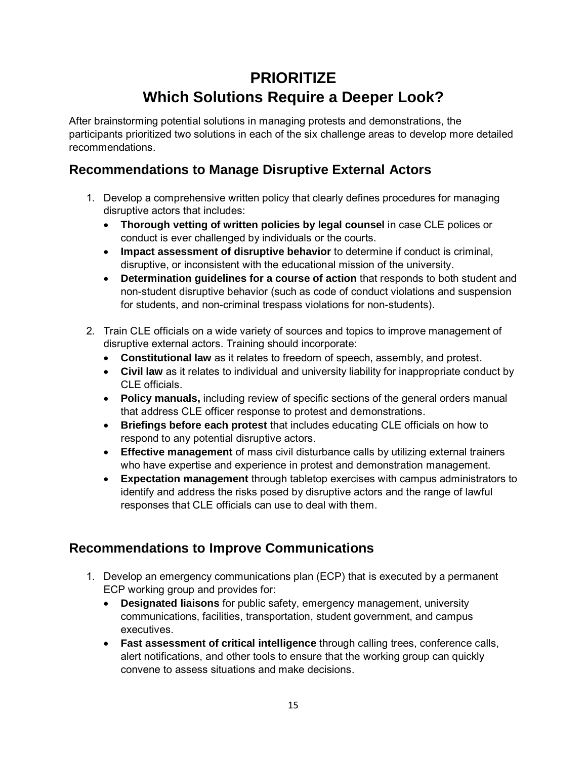## **PRIORITIZE Which Solutions Require a Deeper Look?**

<span id="page-14-0"></span>After brainstorming potential solutions in managing protests and demonstrations, the participants prioritized two solutions in each of the six challenge areas to develop more detailed recommendations.

## <span id="page-14-1"></span>**Recommendations to Manage Disruptive External Actors**

- 1. Develop a comprehensive written policy that clearly defines procedures for managing disruptive actors that includes:
	- **Thorough vetting of written policies by legal counsel** in case CLE polices or conduct is ever challenged by individuals or the courts.
	- **Impact assessment of disruptive behavior** to determine if conduct is criminal, disruptive, or inconsistent with the educational mission of the university.
	- **Determination guidelines for a course of action** that responds to both student and non-student disruptive behavior (such as code of conduct violations and suspension for students, and non-criminal trespass violations for non-students).
- 2. Train CLE officials on a wide variety of sources and topics to improve management of disruptive external actors. Training should incorporate:
	- **Constitutional law** as it relates to freedom of speech, assembly, and protest.
	- **Civil law** as it relates to individual and university liability for inappropriate conduct by CLE officials.
	- **Policy manuals,** including review of specific sections of the general orders manual that address CLE officer response to protest and demonstrations.
	- **Briefings before each protest** that includes educating CLE officials on how to respond to any potential disruptive actors.
	- **Effective management** of mass civil disturbance calls by utilizing external trainers who have expertise and experience in protest and demonstration management.
	- **Expectation management** through tabletop exercises with campus administrators to identify and address the risks posed by disruptive actors and the range of lawful responses that CLE officials can use to deal with them.

### <span id="page-14-2"></span>**Recommendations to Improve Communications**

- 1. Develop an emergency communications plan (ECP) that is executed by a permanent ECP working group and provides for:
	- **Designated liaisons** for public safety, emergency management, university communications, facilities, transportation, student government, and campus executives.
	- **Fast assessment of critical intelligence** through calling trees, conference calls, alert notifications, and other tools to ensure that the working group can quickly convene to assess situations and make decisions.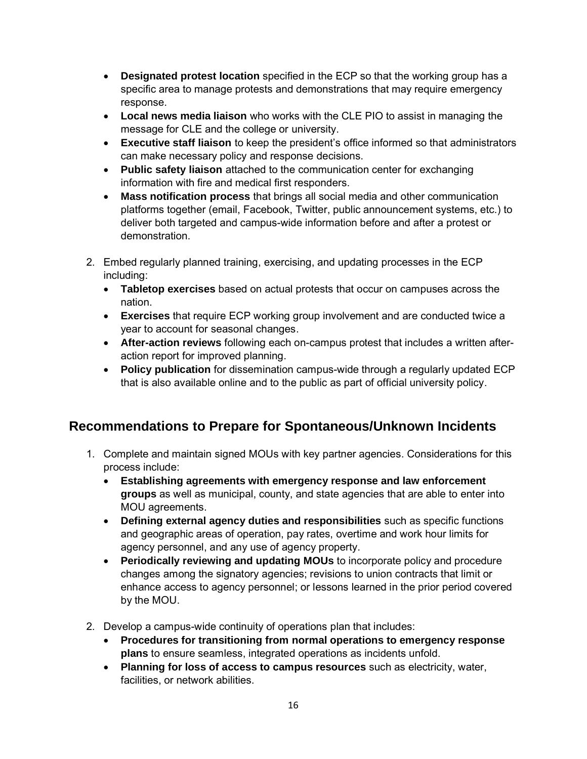- **Designated protest location** specified in the ECP so that the working group has a specific area to manage protests and demonstrations that may require emergency response.
- **Local news media liaison** who works with the CLE PIO to assist in managing the message for CLE and the college or university.
- **Executive staff liaison** to keep the president's office informed so that administrators can make necessary policy and response decisions.
- **Public safety liaison** attached to the communication center for exchanging information with fire and medical first responders.
- **Mass notification process** that brings all social media and other communication platforms together (email, Facebook, Twitter, public announcement systems, etc.) to deliver both targeted and campus-wide information before and after a protest or demonstration.
- 2. Embed regularly planned training, exercising, and updating processes in the ECP including:
	- **Tabletop exercises** based on actual protests that occur on campuses across the nation.
	- **Exercises** that require ECP working group involvement and are conducted twice a year to account for seasonal changes.
	- **After-action reviews** following each on-campus protest that includes a written afteraction report for improved planning.
	- **Policy publication** for dissemination campus-wide through a regularly updated ECP that is also available online and to the public as part of official university policy.

## <span id="page-15-0"></span>**Recommendations to Prepare for Spontaneous/Unknown Incidents**

- 1. Complete and maintain signed MOUs with key partner agencies. Considerations for this process include:
	- **Establishing agreements with emergency response and law enforcement groups** as well as municipal, county, and state agencies that are able to enter into MOU agreements.
	- **Defining external agency duties and responsibilities** such as specific functions and geographic areas of operation, pay rates, overtime and work hour limits for agency personnel, and any use of agency property.
	- **Periodically reviewing and updating MOUs** to incorporate policy and procedure changes among the signatory agencies; revisions to union contracts that limit or enhance access to agency personnel; or lessons learned in the prior period covered by the MOU.
- 2. Develop a campus-wide continuity of operations plan that includes:
	- **Procedures for transitioning from normal operations to emergency response plans** to ensure seamless, integrated operations as incidents unfold.
	- **Planning for loss of access to campus resources** such as electricity, water, facilities, or network abilities.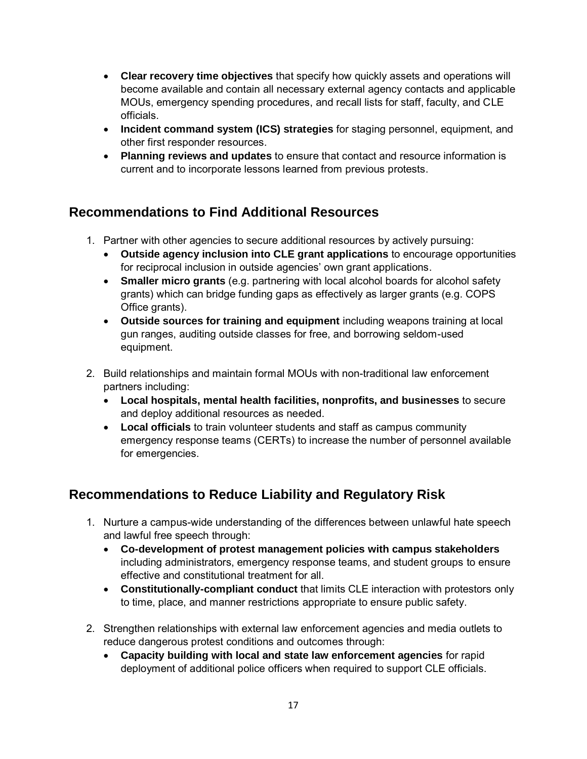- **Clear recovery time objectives** that specify how quickly assets and operations will become available and contain all necessary external agency contacts and applicable MOUs, emergency spending procedures, and recall lists for staff, faculty, and CLE officials.
- **Incident command system (ICS) strategies** for staging personnel, equipment, and other first responder resources.
- **Planning reviews and updates** to ensure that contact and resource information is current and to incorporate lessons learned from previous protests.

### <span id="page-16-0"></span>**Recommendations to Find Additional Resources**

- 1. Partner with other agencies to secure additional resources by actively pursuing:
	- **Outside agency inclusion into CLE grant applications** to encourage opportunities for reciprocal inclusion in outside agencies' own grant applications.
	- **Smaller micro grants** (e.g. partnering with local alcohol boards for alcohol safety grants) which can bridge funding gaps as effectively as larger grants (e.g. COPS Office grants).
	- **Outside sources for training and equipment** including weapons training at local gun ranges, auditing outside classes for free, and borrowing seldom-used equipment.
- 2. Build relationships and maintain formal MOUs with non-traditional law enforcement partners including:
	- **Local hospitals, mental health facilities, nonprofits, and businesses** to secure and deploy additional resources as needed.
	- **Local officials** to train volunteer students and staff as campus community emergency response teams (CERTs) to increase the number of personnel available for emergencies.

## <span id="page-16-1"></span>**Recommendations to Reduce Liability and Regulatory Risk**

- 1. Nurture a campus-wide understanding of the differences between unlawful hate speech and lawful free speech through:
	- **Co-development of protest management policies with campus stakeholders** including administrators, emergency response teams, and student groups to ensure effective and constitutional treatment for all.
	- **Constitutionally-compliant conduct** that limits CLE interaction with protestors only to time, place, and manner restrictions appropriate to ensure public safety.
- 2. Strengthen relationships with external law enforcement agencies and media outlets to reduce dangerous protest conditions and outcomes through:
	- **Capacity building with local and state law enforcement agencies** for rapid deployment of additional police officers when required to support CLE officials.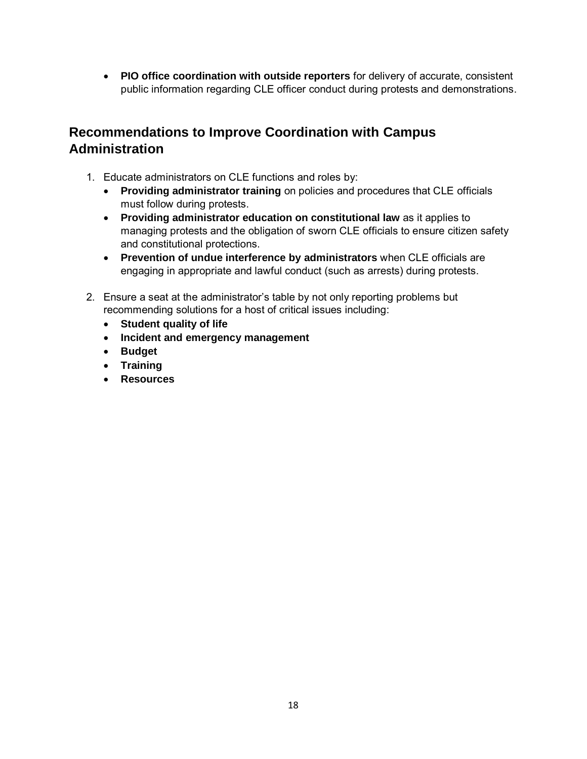• **PIO office coordination with outside reporters** for delivery of accurate, consistent public information regarding CLE officer conduct during protests and demonstrations.

### <span id="page-17-0"></span>**Recommendations to Improve Coordination with Campus Administration**

- 1. Educate administrators on CLE functions and roles by:
	- **Providing administrator training** on policies and procedures that CLE officials must follow during protests.
	- **Providing administrator education on constitutional law** as it applies to managing protests and the obligation of sworn CLE officials to ensure citizen safety and constitutional protections.
	- **Prevention of undue interference by administrators** when CLE officials are engaging in appropriate and lawful conduct (such as arrests) during protests.
- 2. Ensure a seat at the administrator's table by not only reporting problems but recommending solutions for a host of critical issues including:
	- **Student quality of life**
	- **Incident and emergency management**
	- **Budget**
	- **Training**
	- **Resources**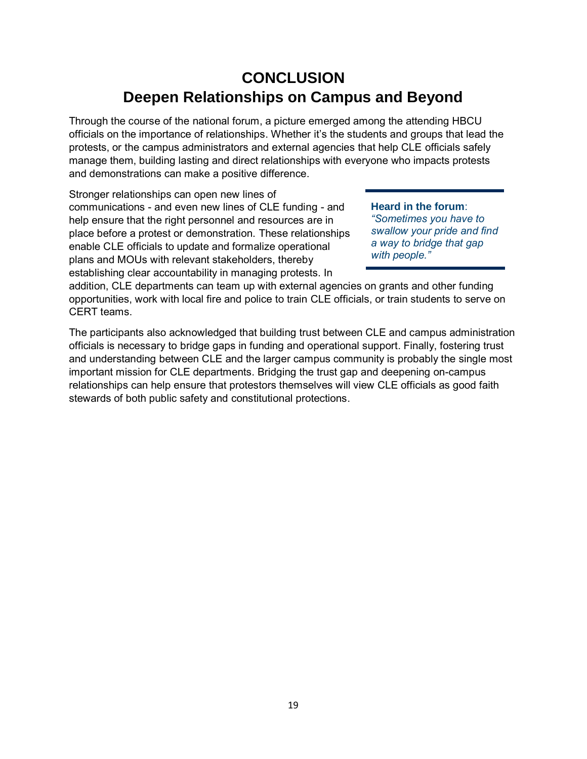## **CONCLUSION Deepen Relationships on Campus and Beyond**

<span id="page-18-0"></span>Through the course of the national forum, a picture emerged among the attending HBCU officials on the importance of relationships. Whether it's the students and groups that lead the protests, or the campus administrators and external agencies that help CLE officials safely manage them, building lasting and direct relationships with everyone who impacts protests and demonstrations can make a positive difference.

Stronger relationships can open new lines of communications - and even new lines of CLE funding - and help ensure that the right personnel and resources are in place before a protest or demonstration. These relationships enable CLE officials to update and formalize operational plans and MOUs with relevant stakeholders, thereby establishing clear accountability in managing protests. In

**Heard in the forum**: *"Sometimes you have to swallow your pride and find a way to bridge that gap with people."*

addition, CLE departments can team up with external agencies on grants and other funding opportunities, work with local fire and police to train CLE officials, or train students to serve on CERT teams.

The participants also acknowledged that building trust between CLE and campus administration officials is necessary to bridge gaps in funding and operational support. Finally, fostering trust and understanding between CLE and the larger campus community is probably the single most important mission for CLE departments. Bridging the trust gap and deepening on-campus relationships can help ensure that protestors themselves will view CLE officials as good faith stewards of both public safety and constitutional protections.